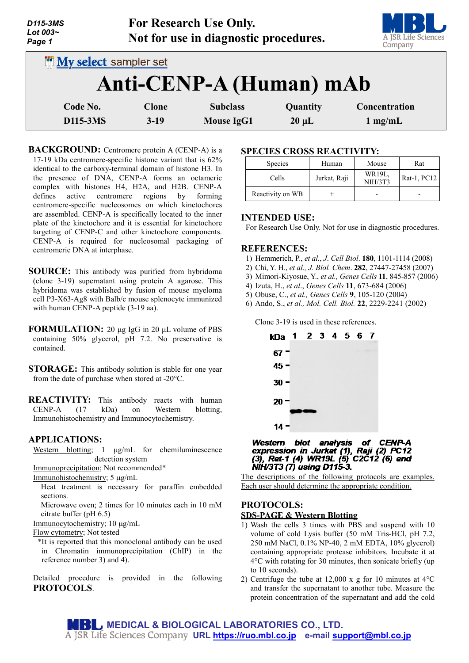| D115-3MS<br>Lot 003~<br>Page 1 |                                                          | <b>For Research Use Only.</b><br>Not for use in diagnostic procedures. |            | A JSR Life Sciences<br>Company |
|--------------------------------|----------------------------------------------------------|------------------------------------------------------------------------|------------|--------------------------------|
|                                | <b>INV select sampler set</b><br>Anti-CENP-A (Human) mAb |                                                                        |            |                                |
| Code No.                       | <b>Clone</b>                                             | <b>Subclass</b>                                                        | Quantity   | Concentration                  |
| D115-3MS                       | $3-19$                                                   | <b>Mouse IgG1</b>                                                      | $20 \mu L$ | $1 \text{ mg/mL}$              |

**BACKGROUND:** Centromere protein A (CENP-A) is a 17-19 kDa centromere-specific histone variant that is 62% identical to the carboxy-terminal domain of histone H3. In the presence of DNA, CENP-A forms an octameric complex with histones H4, H2A, and H2B. CENP-A defines active centromere regions by forming centromere-specific nucleosomes on which kinetochores are assembled. CENP-A is specifically located to the inner plate of the kinetochore and it is essential for kinetochore targeting of CENP-C and other kinetochore components. CENP-A is required for nucleosomal packaging of centromeric DNA at interphase.

- **SOURCE:** This antibody was purified from hybridoma (clone 3-19) supernatant using protein A agarose. This hybridoma was established by fusion of mouse myeloma cell P3-X63-Ag8 with Balb/c mouse splenocyte immunized with human CENP-A peptide (3-19 aa).
- **FORMULATION:** 20 µg IgG in 20 µL volume of PBS containing 50% glycerol, pH 7.2. No preservative is contained.
- **STORAGE:** This antibody solution is stable for one year from the date of purchase when stored at -20°C.

**REACTIVITY:** This antibody reacts with human<br>CENP-A (17 kDa) on Western blotting.  $(17 \text{ kDa})$  on Western blotting, Immunohistochemistry and Immunocytochemistry.

### **APPLICATIONS:**

Western blotting; 1 µg/mL for chemiluminescence detection system

Immunoprecipitation; Not recommended\*

Immunohistochemistry; 5 µg/mL

Heat treatment is necessary for paraffin embedded sections.

Microwave oven; 2 times for 10 minutes each in 10 mM citrate buffer (pH 6.5)

Immunocytochemistry; 10 µg/mL

Flow cytometry; Not tested

\*It is reported that this monoclonal antibody can be used in Chromatin immunoprecipitation (ChIP) in the reference number 3) and 4).

Detailed procedure is provided in the following **PROTOCOLS**.

## **SPECIES CROSS REACTIVITY:**

| <b>Species</b>   | Human        | Mouse             | Rat         |
|------------------|--------------|-------------------|-------------|
| Cells            | Jurkat, Raji | WR19L,<br>NIH/3T3 | Rat-1, PC12 |
| Reactivity on WB |              |                   |             |

### **INTENDED USE:**

For Research Use Only. Not for use in diagnostic procedures.

#### **REFERENCES:**

- 1) Hemmerich, P., *et al*., *J*. *Cell Biol*. **180**, 1101-1114 (2008)
- 2) Chi, Y. H., *et al., J. Biol. Chem*. **282**, 27447-27458 (2007)
- 3) Mimori-Kiyosue, Y., *et al., Genes Cells* **11**, 845-857 (2006)
- 4) Izuta, H., *et al*., *Genes Cells* **11**, 673-684 (2006)
- 5) Obuse, C., *et al., Genes Cells* **9**, 105-120 (2004)
- 6) Ando, S., *et al., Mol. Cell. Biol.* **22**, 2229-2241 (2002)

Clone 3-19 is used in these references.



Western blot analysis of CENP-A<br>expression in Jurkat (1), Raji (2) PC12<br>(3), Rat-1 (4) WR19L (5) C2C12 (6) and NIH/3T3 (7) using D115-3.

The descriptions of the following protocols are examples. Each user should determine the appropriate condition.

## **PROTOCOLS: SDS-PAGE & Western Blotting**

- 1) Wash the cells 3 times with PBS and suspend with 10 volume of cold Lysis buffer (50 mM Tris-HCl, pH 7.2, 250 mM NaCl, 0.1% NP-40, 2 mM EDTA, 10% glycerol) containing appropriate protease inhibitors. Incubate it at 4°C with rotating for 30 minutes, then sonicate briefly (up to 10 seconds).
- 2) Centrifuge the tube at 12,000 x g for 10 minutes at  $4^{\circ}$ C and transfer the supernatant to another tube. Measure the protein concentration of the supernatant and add the cold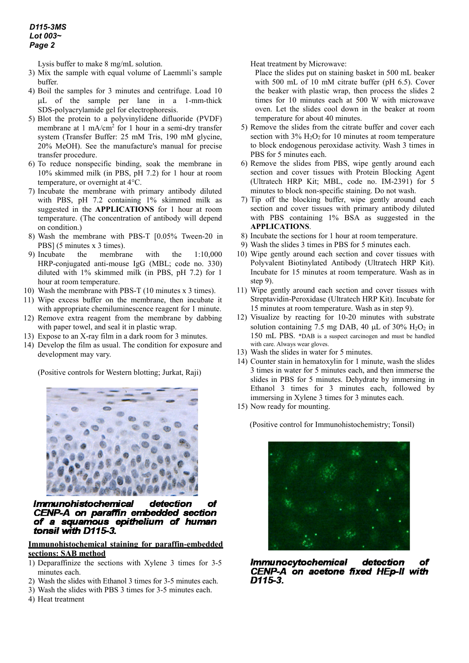Lysis buffer to make 8 mg/mL solution.

- 3) Mix the sample with equal volume of Laemmli's sample buffer.
- 4) Boil the samples for 3 minutes and centrifuge. Load 10 µL of the sample per lane in a 1-mm-thick SDS-polyacrylamide gel for electrophoresis.
- 5) Blot the protein to a polyvinylidene difluoride (PVDF) membrane at  $1 \text{ mA/cm}^2$  for  $1 \text{ hour}$  in a semi-dry transfer system (Transfer Buffer: 25 mM Tris, 190 mM glycine, 20% MeOH). See the manufacture's manual for precise transfer procedure.
- 6) To reduce nonspecific binding, soak the membrane in 10% skimmed milk (in PBS, pH 7.2) for 1 hour at room temperature, or overnight at 4°C.
- 7) Incubate the membrane with primary antibody diluted with PBS, pH 7.2 containing 1% skimmed milk as suggested in the **APPLICATIONS** for 1 hour at room temperature. (The concentration of antibody will depend on condition.)
- 8) Wash the membrane with PBS-T [0.05% Tween-20 in PBS] (5 minutes x 3 times).
- 9) Incubate the membrane with the 1:10,000 HRP-conjugated anti-mouse IgG (MBL; code no. 330) diluted with 1% skimmed milk (in PBS, pH 7.2) for 1 hour at room temperature.
- 10) Wash the membrane with PBS-T (10 minutes x 3 times).
- 11) Wipe excess buffer on the membrane, then incubate it with appropriate chemiluminescence reagent for 1 minute.
- 12) Remove extra reagent from the membrane by dabbing with paper towel, and seal it in plastic wrap.
- 13) Expose to an X-ray film in a dark room for 3 minutes.
- 14) Develop the film as usual. The condition for exposure and development may vary.

(Positive controls for Western blotting; Jurkat, Raji)



**Immunohistochemical** detection of CENP-A on paraffin embedded section of a squamous epithelium of human tonsil with D115-3.

### **Immunohistochemical staining for paraffin-embedded sections: SAB method**

- 1) Deparaffinize the sections with Xylene 3 times for 3-5 minutes each.
- 2) Wash the slides with Ethanol 3 times for 3-5 minutes each.
- 3) Wash the slides with PBS 3 times for 3-5 minutes each.
- 4) Heat treatment

Heat treatment by Microwave:

Place the slides put on staining basket in 500 mL beaker with 500 mL of 10 mM citrate buffer (pH 6.5). Cover the beaker with plastic wrap, then process the slides 2 times for 10 minutes each at 500 W with microwave oven. Let the slides cool down in the beaker at room temperature for about 40 minutes.

- 5) Remove the slides from the citrate buffer and cover each section with  $3\%$  H<sub>2</sub>O<sub>2</sub> for 10 minutes at room temperature to block endogenous peroxidase activity. Wash 3 times in PBS for 5 minutes each.
- 6) Remove the slides from PBS, wipe gently around each section and cover tissues with Protein Blocking Agent (Ultratech HRP Kit; MBL, code no. IM-2391) for 5 minutes to block non-specific staining. Do not wash.
- 7) Tip off the blocking buffer, wipe gently around each section and cover tissues with primary antibody diluted with PBS containing 1% BSA as suggested in the **APPLICATIONS**.
- 8) Incubate the sections for 1 hour at room temperature.
- 9) Wash the slides 3 times in PBS for 5 minutes each.
- 10) Wipe gently around each section and cover tissues with Polyvalent Biotinylated Antibody (Ultratech HRP Kit). Incubate for 15 minutes at room temperature. Wash as in step 9).
- 11) Wipe gently around each section and cover tissues with Streptavidin-Peroxidase (Ultratech HRP Kit). Incubate for 15 minutes at room temperature. Wash as in step 9).
- 12) Visualize by reacting for 10-20 minutes with substrate solution containing 7.5 mg DAB, 40  $\mu$ L of 30% H<sub>2</sub>O<sub>2</sub> in 150 mL PBS. \*DAB is a suspect carcinogen and must be handled with care. Always wear gloves.
- 13) Wash the slides in water for 5 minutes.
- 14) Counter stain in hematoxylin for 1 minute, wash the slides 3 times in water for 5 minutes each, and then immerse the slides in PBS for 5 minutes. Dehydrate by immersing in Ethanol 3 times for 3 minutes each, followed by immersing in Xylene 3 times for 3 minutes each.
- 15) Now ready for mounting.

(Positive control for Immunohistochemistry; Tonsil)



of *Immunocytochemical* detection CENP-A on acetone fixed HEp-II with D115-3.